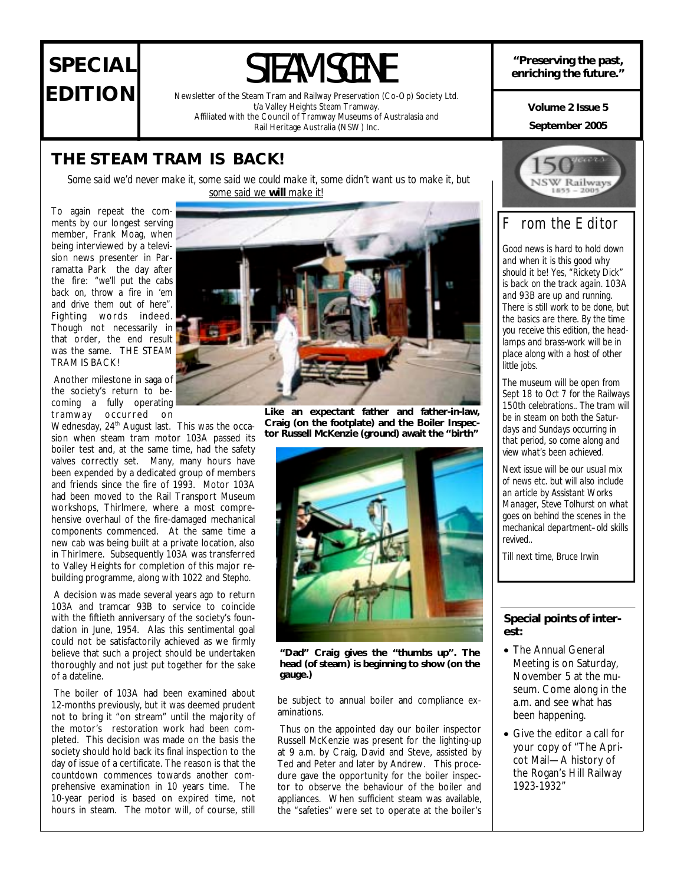## **SPECIAL EDITION**

# **"Preserving the past,** STEAM SCENE **enriching the future."**

Newsletter of the Steam Tram and Railway Preservation (Co-Op) Society Ltd. t/a Valley Heights Steam Tramway. Affiliated with the Council of Tramway Museums of Australasia and Rail Heritage Australia (NSW) Inc.

#### **THE STEAM TRAM IS BACK!**

*Some said we'd never make it, some said we could make it, some didn't want us to make it, but some said we will make it!*

To again repeat the comments by our longest serving member, Frank Moag, when being interviewed by a television news presenter in Parramatta Park the day after the fire: *"we'll put the cabs back on, throw a fire in 'em and drive them out of here".*  Fighting words indeed. Though not necessarily in that order, the end result was the same. THE STEAM TRAM IS BACK!

Another milestone in saga of the society's return to becoming a fully operating tramway occurred on

Wednesday,  $24<sup>th</sup>$  August last. This was the occasion when steam tram motor 103A passed its boiler test and, at the same time, had the safety valves correctly set. Many, many hours have been expended by a dedicated group of members and friends since the fire of 1993. Motor 103A had been moved to the Rail Transport Museum workshops, Thirlmere, where a most comprehensive overhaul of the fire-damaged mechanical components commenced. At the same time a new cab was being built at a private location, also in Thirlmere. Subsequently 103A was transferred to Valley Heights for completion of this major rebuilding programme, along with 1022 and *Stepho.*

A decision was made several years ago to return 103A and tramcar 93B to service to coincide with the fiftieth anniversary of the society's foundation in June, 1954. Alas this sentimental goal could not be satisfactorily achieved as we firmly believe that such a project should be undertaken thoroughly and not just put together for the sake of a dateline.

The boiler of 103A had been examined about 12-months previously, but it was deemed prudent not to bring it "on stream" until the majority of the motor's restoration work had been completed. This decision was made on the basis the society should hold back its final inspection to the day of issue of a certificate. The reason is that the countdown commences towards another comprehensive examination in 10 years time. The 10-year period is based on expired time, not hours in steam. The motor will, of course, still



**Like an expectant father and father-in-law, Craig (on the footplate) and the Boiler Inspector Russell McKenzie (ground) await the "birth"** 



**"Dad" Craig gives the "thumbs up". The head (of steam) is beginning to show (on the gauge.)** 

be subject to annual boiler and compliance examinations.

Thus on the appointed day our boiler inspector Russell McKenzie was present for the lighting-up at 9 a.m. by Craig, David and Steve, assisted by Ted and Peter and later by Andrew. This procedure gave the opportunity for the boiler inspector to observe the behaviour of the boiler and appliances. When sufficient steam was available, the "safeties" were set to operate at the boiler's

**September 2005 Volume 2 Issue 5** 



### *From the Editor*

*Good news is hard to hold down and when it is this good why should it be! Yes, "Rickety Dick" is back on the track again. 103A and 93B are up and running. There is still work to be done, but the basics are there. By the time you receive this edition, the headlamps and brass-work will be in place along with a host of other little jobs.* 

*The museum will be open from Sept 18 to Oct 7 for the Railways 150th celebrations.. The tram will be in steam on both the Saturdays and Sundays occurring in that period, so come along and view what's been achieved.* 

*Next issue will be our usual mix of news etc. but will also include an article by Assistant Works Manager, Steve Tolhurst on what goes on behind the scenes in the mechanical department–old skills revived..* 

*Till next time, Bruce Irwin* 

#### **Special points of interest:**

- The Annual General Meeting is on Saturday, November 5 at the museum. Come along in the a.m. and see what has been happening.
- Give the editor a call for your copy of "The Apricot Mail—A history of the Rogan's Hill Railway 1923-1932"